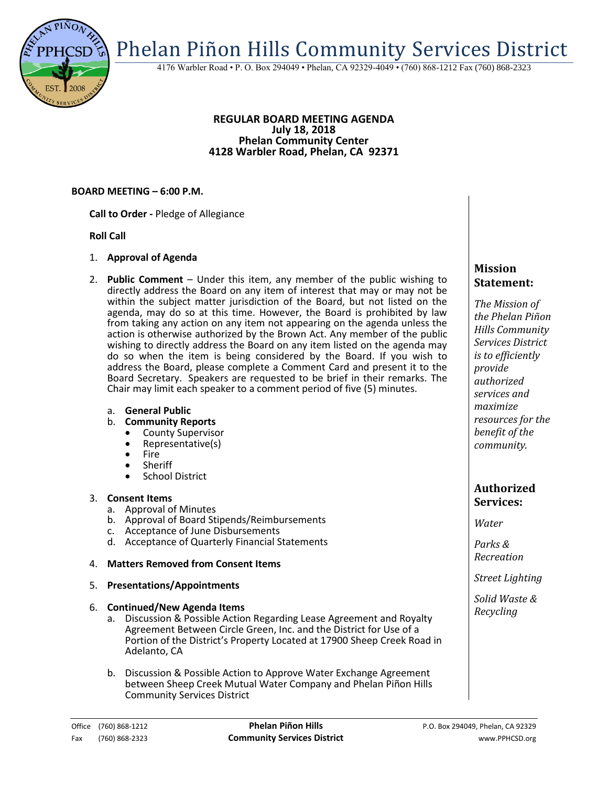Phelan Piñon Hills Community Services District

4176 Warbler Road • P. O. Box 294049 • Phelan, CA 92329-4049 • (760) 868-1212 Fax (760) 868-2323

#### **REGULAR BOARD MEETING AGENDA July 18, 2018 Phelan Community Center 4128 Warbler Road, Phelan, CA 92371**

## **BOARD MEETING – 6:00 P.M.**

**Call to Order -** Pledge of Allegiance

## **Roll Call**

- 1. **Approval of Agenda**
- 2. **Public Comment**  Under this item, any member of the public wishing to directly address the Board on any item of interest that may or may not be within the subject matter jurisdiction of the Board, but not listed on the agenda, may do so at this time. However, the Board is prohibited by law from taking any action on any item not appearing on the agenda unless the action is otherwise authorized by the Brown Act. Any member of the public wishing to directly address the Board on any item listed on the agenda may do so when the item is being considered by the Board. If you wish to address the Board, please complete a Comment Card and present it to the Board Secretary. Speakers are requested to be brief in their remarks. The Chair may limit each speaker to a comment period of five (5) minutes.
	- a. **General Public**
	- b. **Community Reports**
		- County Supervisor
		- Representative(s)
		- Fire
		- Sheriff
		- School District

## 3. **Consent Items**

- a. Approval of Minutes
- b. Approval of Board Stipends/Reimbursements
- c. Acceptance of June Disbursements
- d. Acceptance of Quarterly Financial Statements

## 4. **Matters Removed from Consent Items**

5. **Presentations/Appointments**

## 6. **Continued/New Agenda Items**

- a. Discussion & Possible Action Regarding Lease Agreement and Royalty Agreement Between Circle Green, Inc. and the District for Use of a Portion of the District's Property Located at 17900 Sheep Creek Road in Adelanto, CA
- b. Discussion & Possible Action to Approve Water Exchange Agreement between Sheep Creek Mutual Water Company and Phelan Piñon Hills Community Services District

# **Mission Statement:**

*The Mission of the Phelan Piñon Hills Community Services District is to efficiently provide authorized services and maximize resources for the benefit of the community.*

## **Authorized Services:**

*Water*

*Parks & Recreation*

*Street Lighting*

*Solid Waste & Recycling*